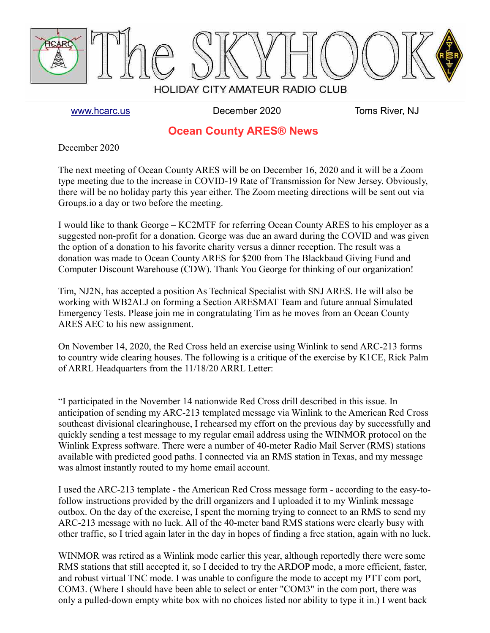

[www.hcarc.us](http://www.hcarc.us/) December 2020 Toms River, NJ

## **Ocean County ARES® News**

December 2020

The next meeting of Ocean County ARES will be on December 16, 2020 and it will be a Zoom type meeting due to the increase in COVID-19 Rate of Transmission for New Jersey. Obviously, there will be no holiday party this year either. The Zoom meeting directions will be sent out via Groups.io a day or two before the meeting.

I would like to thank George – KC2MTF for referring Ocean County ARES to his employer as a suggested non-profit for a donation. George was due an award during the COVID and was given the option of a donation to his favorite charity versus a dinner reception. The result was a donation was made to Ocean County ARES for \$200 from The Blackbaud Giving Fund and Computer Discount Warehouse (CDW). Thank You George for thinking of our organization!

Tim, NJ2N, has accepted a position As Technical Specialist with SNJ ARES. He will also be working with WB2ALJ on forming a Section ARESMAT Team and future annual Simulated Emergency Tests. Please join me in congratulating Tim as he moves from an Ocean County ARES AEC to his new assignment.

On November 14, 2020, the Red Cross held an exercise using Winlink to send ARC-213 forms to country wide clearing houses. The following is a critique of the exercise by K1CE, Rick Palm of ARRL Headquarters from the 11/18/20 ARRL Letter:

"I participated in the November 14 nationwide Red Cross drill described in this issue. In anticipation of sending my ARC-213 templated message via Winlink to the American Red Cross southeast divisional clearinghouse, I rehearsed my effort on the previous day by successfully and quickly sending a test message to my regular email address using the WINMOR protocol on the Winlink Express software. There were a number of 40-meter Radio Mail Server (RMS) stations available with predicted good paths. I connected via an RMS station in Texas, and my message was almost instantly routed to my home email account.

I used the ARC-213 template - the American Red Cross message form - according to the easy-tofollow instructions provided by the drill organizers and I uploaded it to my Winlink message outbox. On the day of the exercise, I spent the morning trying to connect to an RMS to send my ARC-213 message with no luck. All of the 40-meter band RMS stations were clearly busy with other traffic, so I tried again later in the day in hopes of finding a free station, again with no luck.

WINMOR was retired as a Winlink mode earlier this year, although reportedly there were some RMS stations that still accepted it, so I decided to try the ARDOP mode, a more efficient, faster, and robust virtual TNC mode. I was unable to configure the mode to accept my PTT com port, COM3. (Where I should have been able to select or enter "COM3" in the com port, there was only a pulled-down empty white box with no choices listed nor ability to type it in.) I went back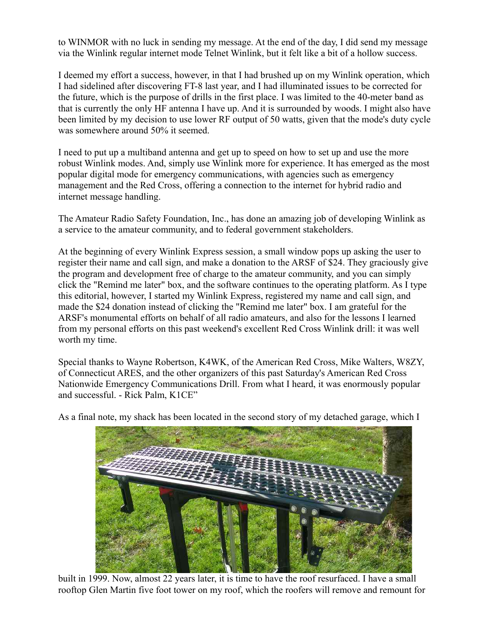to WINMOR with no luck in sending my message. At the end of the day, I did send my message via the Winlink regular internet mode Telnet Winlink, but it felt like a bit of a hollow success.

I deemed my effort a success, however, in that I had brushed up on my Winlink operation, which I had sidelined after discovering FT-8 last year, and I had illuminated issues to be corrected for the future, which is the purpose of drills in the first place. I was limited to the 40-meter band as that is currently the only HF antenna I have up. And it is surrounded by woods. I might also have been limited by my decision to use lower RF output of 50 watts, given that the mode's duty cycle was somewhere around 50% it seemed.

I need to put up a multiband antenna and get up to speed on how to set up and use the more robust Winlink modes. And, simply use Winlink more for experience. It has emerged as the most popular digital mode for emergency communications, with agencies such as emergency management and the Red Cross, offering a connection to the internet for hybrid radio and internet message handling.

The Amateur Radio Safety Foundation, Inc., has done an amazing job of developing Winlink as a service to the amateur community, and to federal government stakeholders.

At the beginning of every Winlink Express session, a small window pops up asking the user to register their name and call sign, and make a donation to the ARSF of \$24. They graciously give the program and development free of charge to the amateur community, and you can simply click the "Remind me later" box, and the software continues to the operating platform. As I type this editorial, however, I started my Winlink Express, registered my name and call sign, and made the \$24 donation instead of clicking the "Remind me later" box. I am grateful for the ARSF's monumental efforts on behalf of all radio amateurs, and also for the lessons I learned from my personal efforts on this past weekend's excellent Red Cross Winlink drill: it was well worth my time.

Special thanks to Wayne Robertson, K4WK, of the American Red Cross, Mike Walters, W8ZY, of Connecticut ARES, and the other organizers of this past Saturday's American Red Cross Nationwide Emergency Communications Drill. From what I heard, it was enormously popular and successful. - Rick Palm, K1CE"



As a final note, my shack has been located in the second story of my detached garage, which I

built in 1999. Now, almost 22 years later, it is time to have the roof resurfaced. I have a small rooftop Glen Martin five foot tower on my roof, which the roofers will remove and remount for